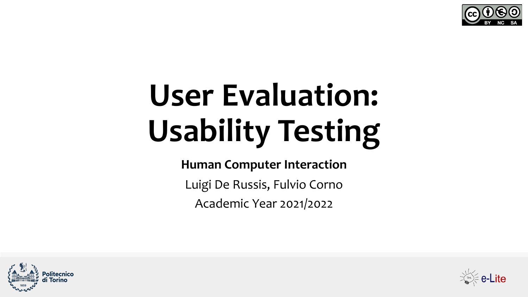

# **User Evaluation: Usability Testing**

**Human Computer Interaction**

Luigi De Russis, Fulvio Corno

Academic Year 2021/2022



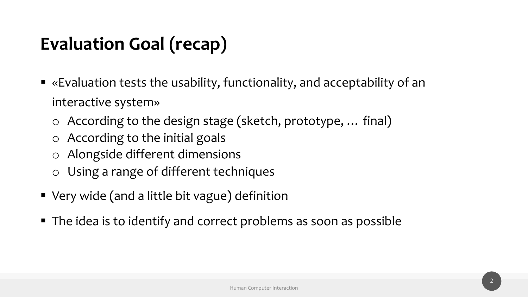## **Evaluation Goal (recap)**

- «Evaluation tests the usability, functionality, and acceptability of an interactive system»
	- o According to the design stage (sketch, prototype, … final)
	- o According to the initial goals
	- o Alongside different dimensions
	- o Using a range of different techniques
- Very wide (and a little bit vague) definition
- The idea is to identify and correct problems as soon as possible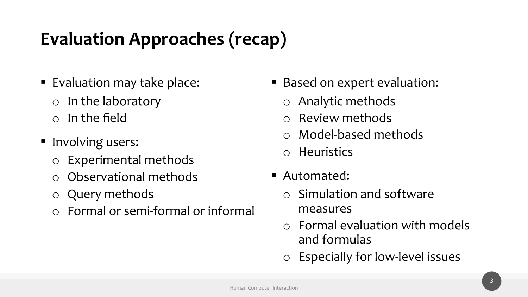# **Evaluation Approaches (recap)**

- Evaluation may take place:
	- o In the laboratory o In the field
- Involving users:
	- o Experimental methods
	- o Observational methods
	- o Query methods
	- o Formal or semi-formal or informal
- Based on expert evaluation:
	- o Analytic methods
	- o Review methods
	- o Model-based methods
	- o Heuristics
- Automated:
	- o Simulation and software measures
	- o Formal evaluation with models and formulas
	- o Especially for low-level issues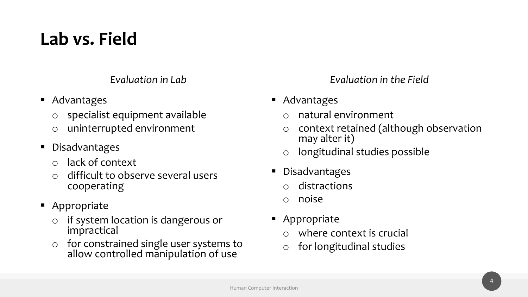## **Lab vs. Field**

*Evaluation in Lab*

- Advantages
	- o specialist equipment available
	- o uninterrupted environment
- Disadvantages
	- o lack of context
	- o difficult to observe several users cooperating
- Appropriate
	- o if system location is dangerous or impractical
	- o for constrained single user systems to allow controlled manipulation of use

*Evaluation in the Field*

- Advantages
	- o natural environment
	- o context retained (although observation may alter it)
	- o longitudinal studies possible
- Disadvantages
	- distractions
	- o noise
- Appropriate
	- where context is crucial
	- o for longitudinal studies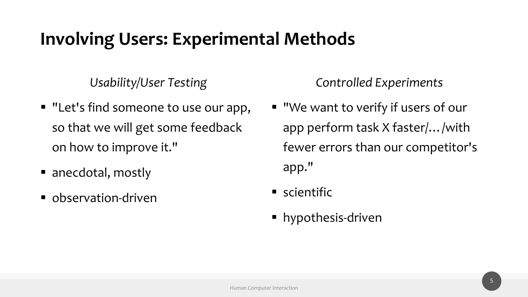#### **Involving Users: Experimental Methods**

*Usability/User Testing*

- "Let's find someone to use our app, so that we will get some feedback on how to improve it."
- anecdotal, mostly
- observation-driven

*Controlled Experiments*

- "We want to verify if users of our app perform task X faster/…/with fewer errors than our competitor's app."
- scientific
- § hypothesis-driven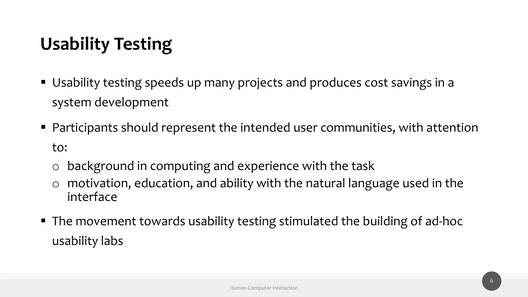# **Usability Testing**

- Usability testing speeds up many projects and produces cost savings in a system development
- Participants should represent the intended user communities, with attention to:
	- o background in computing and experience with the task
	- o motivation, education, and ability with the natural language used in the interface
- The movement towards usability testing stimulated the building of ad-hoc usability labs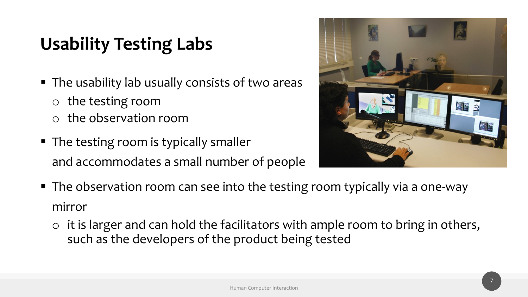# **Usability Testing Labs**

- The usability lab usually consists of two areas
	- o the testing room
	- o the observation room
- The testing room is typically smaller and accommodates a small number of people



- The observation room can see into the testing room typically via a one-way mirror
	- $\circ$  it is larger and can hold the facilitators with ample room to bring in others, such as the developers of the product being tested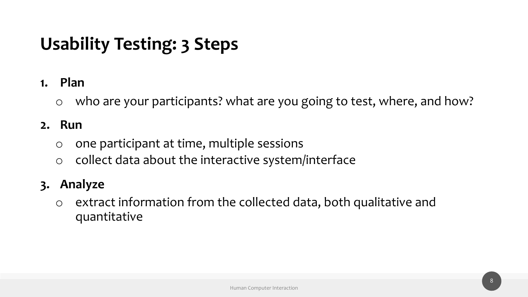# **Usability Testing: 3 Steps**

#### **1. Plan**

o who are your participants? what are you going to test, where, and how?

#### **2. Run**

- $\circ$  one participant at time, multiple sessions
- o collect data about the interactive system/interface

#### **3. Analyze**

o extract information from the collected data, both qualitative and quantitative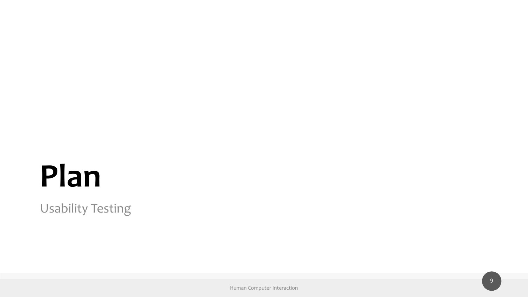# **Plan**

Usability Testing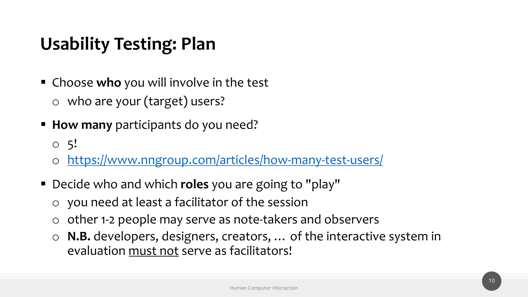- § Choose **who** you will involve in the test o who are your (target) users?
- **How many** participants do you need?
	- $\circ$  5!
	- o https://www.nngroup.com/articles/how-many-te
- Decide who and which **roles** you are going to "play"
	- o you need at least a facilitator of the session
	- $\circ$  other 1-2 people may serve as note-takers and ob
	- o **N.B.** developers, designers, creators, ... of the in evaluation must not serve as facilitators!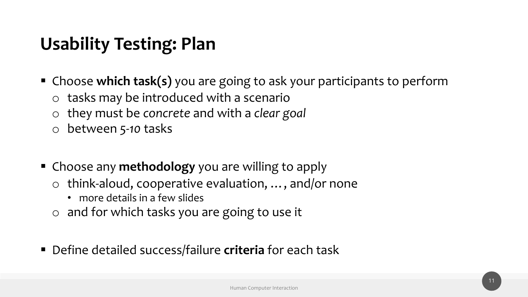- Choose which task(s) you are going to ask your participants to perform
	- o tasks may be introduced with a scenario
	- o they must be *concrete* and with a *clear goal*
	- o between *5-10* tasks
- § Choose any **methodology** you are willing to apply
	- o think-aloud, cooperative evaluation, …, and/or none
		- more details in a few slides
	- o and for which tasks you are going to use it
- § Define detailed success/failure **criteria** for each task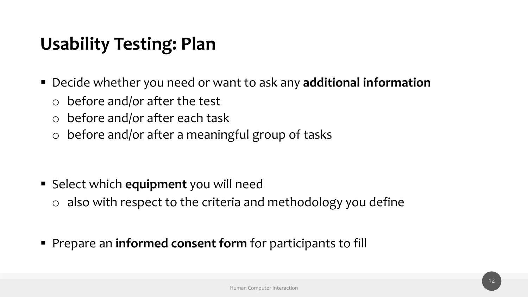- Decide whether you need or want to ask any **additional information** 
	- o before and/or after the test
	- o before and/or after each task
	- o before and/or after a meaningful group of tasks

- Select which **equipment** you will need
	- o also with respect to the criteria and methodology you define
- § Prepare an **informed consent form** for participants to fill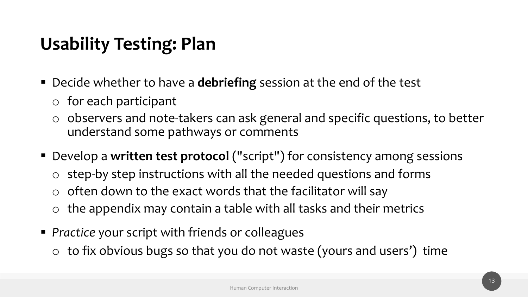- Decide whether to have a **debriefing** session at the end of the test
	- o for each participant
	- o observers and note-takers can ask general and specific questions, to better understand some pathways or comments
- Develop a written test protocol ("script") for consistency among sessions
	- o step-by step instructions with all the needed questions and forms
	- $\circ$  often down to the exact words that the facilitator will say
	- $\circ$  the appendix may contain a table with all tasks and their metrics
- *Practice* your script with friends or colleagues
	- $\circ$  to fix obvious bugs so that you do not waste (yours and users') time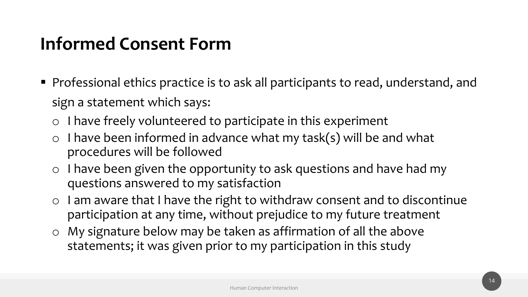#### **Informed Consent Form**

- Professional ethics practice is to ask all participants to read, understand, and sign a statement which says:
	- o I have freely volunteered to participate in this experiment
	- $\circ$  I have been informed in advance what my task(s) will be and what procedures will be followed
	- o I have been given the opportunity to ask questions and have had my questions answered to my satisfaction
	- o I am aware that I have the right to withdraw consent and to discontinue participation at any time, without prejudice to my future treatment
	- o My signature below may be taken as affirmation of all the above statements; it was given prior to my participation in this study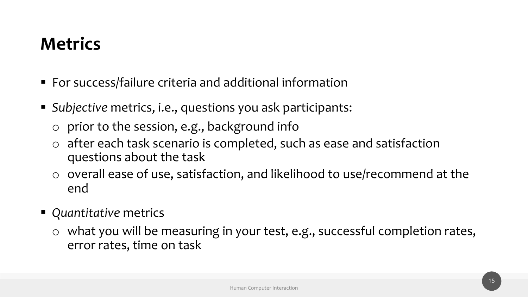#### **Metrics**

- For success/failure criteria and additional information
- § *Subjective* metrics, i.e., questions you ask participants:
	- o prior to the session, e.g., background info
	- o after each task scenario is completed, such as ease and satisfaction questions about the task
	- o overall ease of use, satisfaction, and likelihood to use/recommend at the end
- *Quantitative* metrics
	- o what you will be measuring in your test, e.g., successful completion rates, error rates, time on task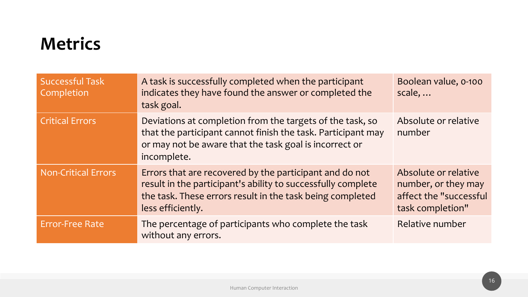#### **Metrics**

| <b>Successful Task</b><br>Completion | A task is successfully completed when the participant<br>indicates they have found the answer or completed the<br>task goal.                                                                              | Boolean value, 0-100<br>scale,                                                            |
|--------------------------------------|-----------------------------------------------------------------------------------------------------------------------------------------------------------------------------------------------------------|-------------------------------------------------------------------------------------------|
| <b>Critical Errors</b>               | Deviations at completion from the targets of the task, so<br>that the participant cannot finish the task. Participant may<br>or may not be aware that the task goal is incorrect or<br>incomplete.        | Absolute or relative<br>number                                                            |
| <b>Non-Critical Errors</b>           | Errors that are recovered by the participant and do not<br>result in the participant's ability to successfully complete<br>the task. These errors result in the task being completed<br>less efficiently. | Absolute or relative<br>number, or they may<br>affect the "successful<br>task completion" |
| <b>Error-Free Rate</b>               | The percentage of participants who complete the task<br>without any errors.                                                                                                                               | Relative number                                                                           |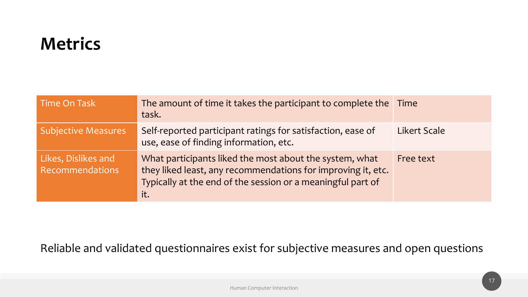#### **Metrics**

| Time On Task                           | The amount of time it takes the participant to complete the Time<br>task.                                                                                                                     |                     |
|----------------------------------------|-----------------------------------------------------------------------------------------------------------------------------------------------------------------------------------------------|---------------------|
| <b>Subjective Measures</b>             | Self-reported participant ratings for satisfaction, ease of<br>use, ease of finding information, etc.                                                                                         | <b>Likert Scale</b> |
| Likes, Dislikes and<br>Recommendations | What participants liked the most about the system, what<br>they liked least, any recommendations for improving it, etc.<br>Typically at the end of the session or a meaningful part of<br>it. | Free text           |

#### Reliable and validated questionnaires exist for subjective measures and open questions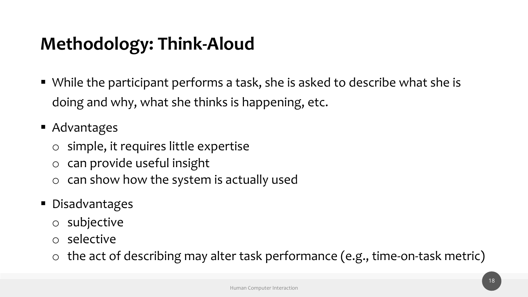# **Methodology: Think-Aloud**

- While the participant performs a task, she is asked to describe what she is doing and why, what she thinks is happening, etc.
- Advantages
	- o simple, it requires little expertise
	- o can provide useful insight
	- o can show how the system is actually used
- Disadvantages
	- o subjective
	- o selective
	- o the act of describing may alter task performance (e.g., time-on-task metric)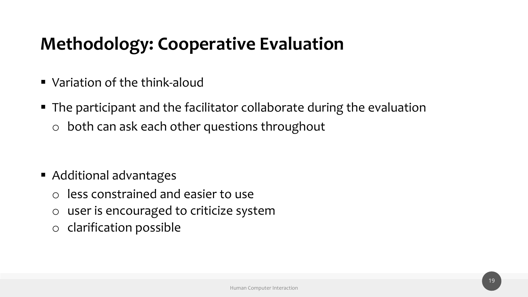#### **Methodology: Cooperative Evaluation**

- Variation of the think-aloud
- The participant and the facilitator collaborate during the evaluation o both can ask each other questions throughout

- Additional advantages
	- o less constrained and easier to use
	- o user is encouraged to criticize system
	- o clarification possible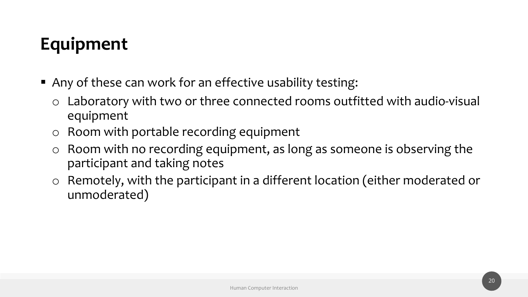# **Equipment**

- Any of these can work for an effective usability testing:
	- o Laboratory with two or three connected rooms outfitted with audio-visual equipment
	- o Room with portable recording equipment
	- o Room with no recording equipment, as long as someone is observing the participant and taking notes
	- o Remotely, with the participant in a different location (either moderated or unmoderated)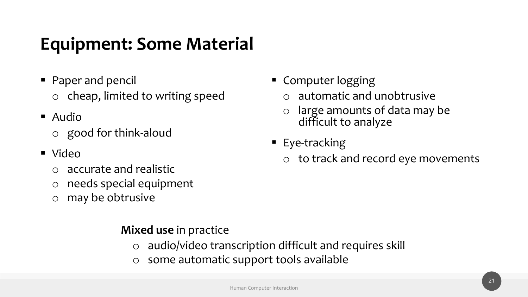#### **Equipment: Some Material**

- Paper and pencil o cheap, limited to writing speed
- Audio
	- o good for think-aloud
- § Video
	- o accurate and realistic
	- o needs special equipment
	- o may be obtrusive

#### **Mixed use** in practice

- o audio/video transcription difficult and requires skill
- o some automatic support tools available
- Computer logging
	- o automatic and unobtrusive
	- o large amounts of data may be difficult to analyze
- § Eye-tracking
	- o to track and record eye movements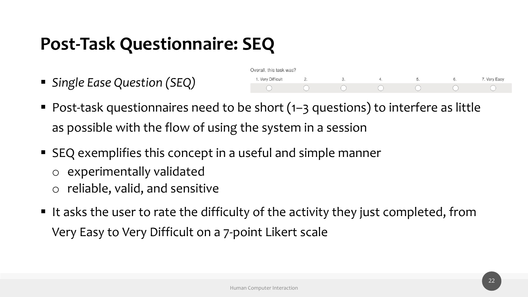#### **Post-Task Questionnaire: SEQ**

§ *Single Ease Question (SEQ)*

| Overall, this task was? |     |    |  |              |
|-------------------------|-----|----|--|--------------|
| 1. Very Difficult       | . . | u. |  | 7. Very Easy |
|                         |     |    |  |              |

- Post-task questionnaires need to be short (1–3 questions) to interfere as little as possible with the flow of using the system in a session
- SEQ exemplifies this concept in a useful and simple manner
	- o experimentally validated
	- o reliable, valid, and sensitive
- It asks the user to rate the difficulty of the activity they just completed, from Very Easy to Very Difficult on a 7-point Likert scale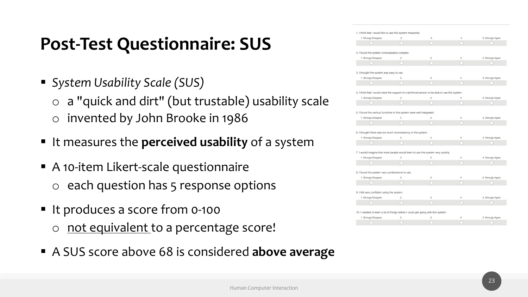#### **Post-Test Questionnaire: SUS**

- § *System Usability Scale (SUS)*
	- o a "quick and dirt" (but trustable) usability scale
	- o invented by John Brooke in 1986
- § It measures the **perceived usability** of a system
- A 10-item Likert-scale questionnaire o each question has 5 response options
- It produces a score from 0-100
	- o not equivalent to a percentage score!
- § A SUS score above 68 is considered **above average**

| 1. Strongly Disagree                                                                          | 2.               | 3. | 4. | 5. Strongly Agree                             |
|-----------------------------------------------------------------------------------------------|------------------|----|----|-----------------------------------------------|
| Ω                                                                                             |                  | O  | ∩  |                                               |
|                                                                                               |                  |    |    |                                               |
| 2. I found the system unnecessarily complex.                                                  |                  |    |    |                                               |
| 1. Strongly Disagree                                                                          | $\overline{2}$ . | 3. | 4. | 5. Strongly Agree                             |
|                                                                                               | n                | Ω  | n  |                                               |
| 3. I thought the system was easy to use.                                                      |                  |    |    |                                               |
| 1. Strongly Disagree                                                                          | $\overline{2}$ . | 3. | 4. | 5. Strongly Agree                             |
| Ω                                                                                             | ∩                | ∩  | n  |                                               |
| 4. I think that I would need the support of a technical person to be able to use this system. |                  |    |    |                                               |
| 1. Strongly Disagree                                                                          | 2.               | 3. | 4. | 5. Strongly Agree                             |
| $\left( \begin{array}{c} 1 \end{array} \right)$                                               |                  |    | 0  |                                               |
|                                                                                               |                  |    |    |                                               |
| 5. I found the various functions in this system were well integrated.                         |                  |    |    |                                               |
| 1. Strongly Disagree                                                                          | 2.               | 3. | 4. | 5. Strongly Agree                             |
| n                                                                                             |                  | Ω  | n  |                                               |
|                                                                                               |                  |    |    |                                               |
| 6. I thought there was too much inconsistency in this system.                                 |                  |    |    |                                               |
| 1. Strongly Disagree                                                                          | 2.               | 3. | 4. | 5. Strongly Agree                             |
|                                                                                               |                  |    | ∩  |                                               |
| 7. I would imagine that most people would learn to use this system very quickly.              |                  |    |    |                                               |
|                                                                                               | 2.               | 3. | 4. |                                               |
| 1. Strongly Disagree                                                                          |                  | Ω  | n  | 5. Strongly Agree                             |
|                                                                                               |                  |    |    |                                               |
| 8. I found the system very cumbersome to use.                                                 |                  |    |    |                                               |
| 1. Strongly Disagree                                                                          | $\overline{2}$ . | 3. | 4. | 5. Strongly Agree                             |
| n                                                                                             | ∩                | ∩  | ∩  |                                               |
|                                                                                               |                  |    |    |                                               |
| 9. I felt very confident using the system.                                                    |                  |    |    |                                               |
| 1. Strongly Disagree                                                                          | 2.               | 3. | 4. | 5. Strongly Agree                             |
|                                                                                               |                  | Ω  | n  |                                               |
| 10. I needed to learn a lot of things before I could get going with this system.              |                  |    |    |                                               |
| 1. Strongly Disagree                                                                          | $\overline{2}$ . | 3. | 4. | 5. Strongly Agree                             |
| $\sqrt{2}$                                                                                    |                  |    |    | $\left( \begin{array}{c} \end{array} \right)$ |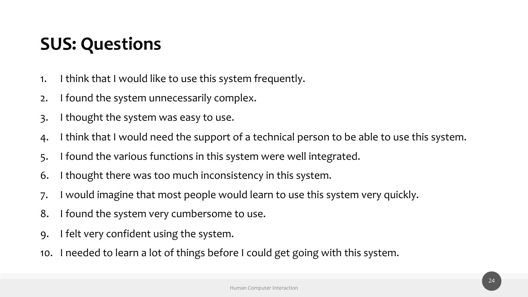## **SUS: Questions**

- 1. I think that I would like to use this system frequently.
- 2. I found the system unnecessarily complex.
- 3. I thought the system was easy to use.
- 4. I think that I would need the support of a technical person to be able to use this system.
- 5. I found the various functions in this system were well integrated.
- 6. I thought there was too much inconsistency in this system.
- 7. I would imagine that most people would learn to use this system very quickly.
- 8. I found the system very cumbersome to use.
- 9. I felt very confident using the system.
- 10. I needed to learn a lot of things before I could get going with this system.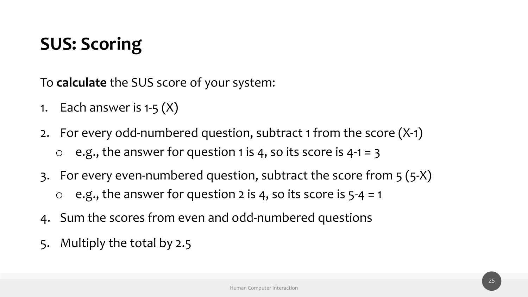#### **SUS: Scoring**

To **calculate** the SUS score of your system:

- 1. Each answer is  $1-5(X)$
- 2. For every odd-numbered question, subtract 1 from the score (X-1) e.g., the answer for question 1 is 4, so its score is  $4-1 = 3$
- 3. For every even-numbered question, subtract the score from 5 (5-X)  $\circ$  e.g., the answer for question 2 is 4, so its score is  $5-4 = 1$
- 4. Sum the scores from even and odd-numbered questions
- 5. Multiply the total by 2.5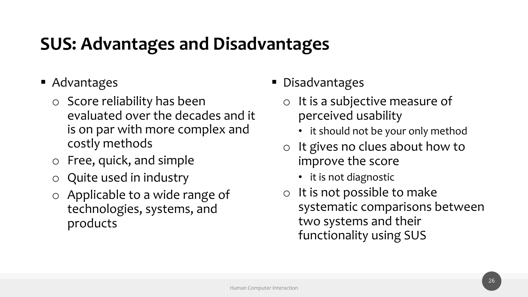#### **SUS: Advantages and Disadvantages**

- Advantages
	- o Score reliability has been evaluated over the decades and it is on par with more complex and costly methods
	- o Free, quick, and simple
	- o Quite used in industry
	- o Applicable to a wide range of technologies, systems, and products

#### ■ Disadvantages

- o It is a subjective measure of perceived usability
	- it should not be your only method
- o It gives no clues about how to improve the score
	- it is not diagnostic
- o It is not possible to make systematic comparisons between two systems and their functionality using SUS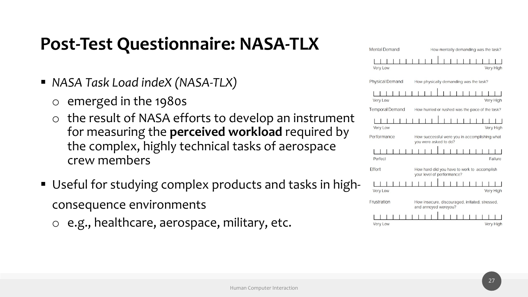#### **Post-Test Questionnaire: NASA-TLX**

- § *NASA Task Load indeX (NASA-TLX)*
	- o emerged in the 1980s
	- o the result of NASA efforts to develop an instrument for measuring the **perceived workload** required by the complex, highly technical tasks of aerospace crew members
- Useful for studying complex products and tasks in high consequence environments
	- o e.g., healthcare, aerospace, military, etc.

| <b>Mental Demand</b>   | How mentally demanding was the task?                                      |
|------------------------|---------------------------------------------------------------------------|
| <b>Very Low</b>        | <b>Very High</b>                                                          |
| <b>Physical Demand</b> | How physically demanding was the task?                                    |
| <b>Very Low</b>        | <b>Very High</b>                                                          |
| <b>Temporal Demand</b> | How hurried or rushed was the pace of the task?                           |
| Very Low               | Very High                                                                 |
| Performance            | How successful were you in accomplishing what<br>you were asked to do?    |
| Perfect                | Failure                                                                   |
| Effort                 | How hard did you have to work to accomplish<br>your level of performance? |
| <b>Very Low</b>        | <b>Very High</b>                                                          |
| Frustration            | How insecure, discouraged, irritated, stressed,<br>and annoyed wereyou?   |
| <b>Very Low</b>        | <b>Very High</b>                                                          |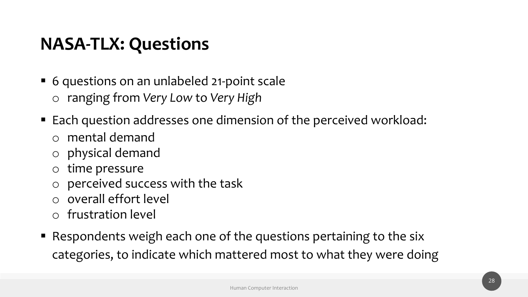#### **NASA-TLX: Questions**

- 6 questions on an unlabeled 21-point scale o ranging from *Very Low* to *Very High*
- Each question addresses one dimension of the perceived workload:
	- o mental demand
	- o physical demand
	- o time pressure
	- o perceived success with the task
	- o overall effort level
	- o frustration level
- Respondents weigh each one of the questions pertaining to the six categories, to indicate which mattered most to what they were doing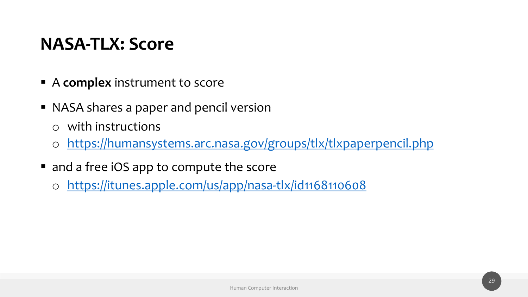#### **N[ASA-TLX: Score](https://itunes.apple.com/us/app/nasa-tlx/id1168110608)**

- **EX A complex** instrument to score
- NASA shares a paper and pencil version
	- o with instructions
	- o https://humansystems.arc.nasa.gov/groups/tlx/tl
- and a free iOS app to compute the score
	- o https://itunes.apple.com/us/app/nasa-tlx/id116811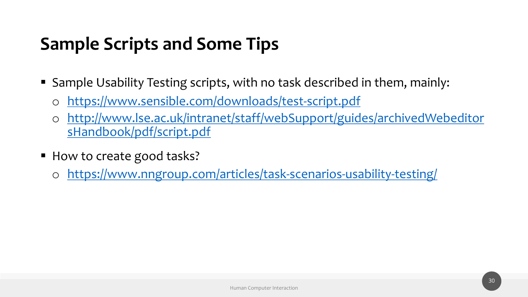# **S[ample Scripts and Some Tips](https://www.nngroup.com/articles/task-scenarios-usability-testing/)**

- **Sample Usability Testing scripts, with no task descrited in the Sample Usability Testing scripts, with no task descri** 
	- o https://www.sensible.com/downloads/test-script
	- o http://www.lse.ac.uk/intranet/staff/webSupport/ sHandbook/pdf/script.pdf
- How to create good tasks?
	- o https://www.nngroup.com/articles/task-scenario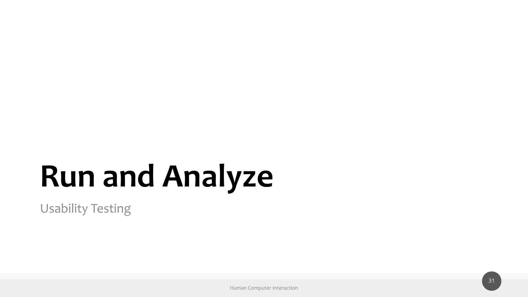# **Run and Analyze**

Usability Testing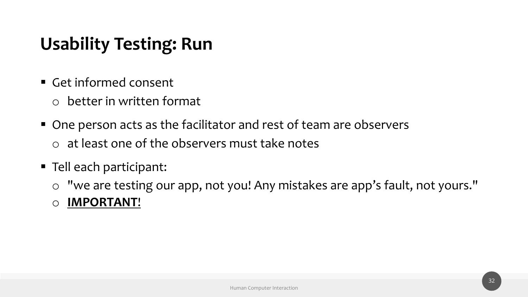## **Usability Testing: Run**

- Get informed consent
	- o better in written format
- One person acts as the facilitator and rest of team are observers o at least one of the observers must take notes
- Tell each participant:
	- o "we are testing our app, not you! Any mistakes are app's fault, not yours."
	- o **IMPORTANT**!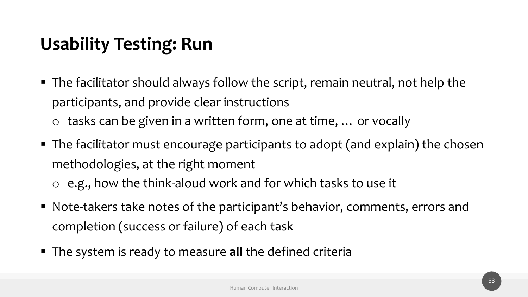## **Usability Testing: Run**

- The facilitator should always follow the script, remain neutral, not help the participants, and provide clear instructions o tasks can be given in a written form, one at time, … or vocally
- The facilitator must encourage participants to adopt (and explain) the chosen methodologies, at the right moment
	- o e.g., how the think-aloud work and for which tasks to use it
- Note-takers take notes of the participant's behavior, comments, errors and completion (success or failure) of each task
- The system is ready to measure all the defined criteria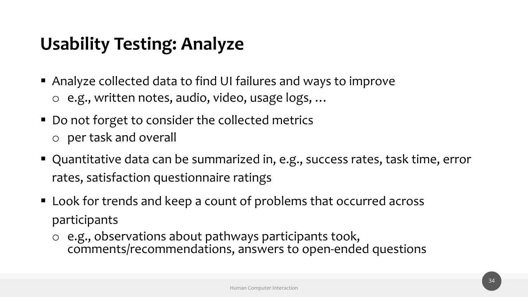## **Usability Testing: Analyze**

- Analyze collected data to find UI failures and ways to improve o e.g., written notes, audio, video, usage logs, …
- Do not forget to consider the collected metrics o per task and overall
- Quantitative data can be summarized in, e.g., success rates, task time, error rates, satisfaction questionnaire ratings
- Look for trends and keep a count of problems that occurred across participants
	- o e.g., observations about pathways participants took, comments/recommendations, answers to open-ended questions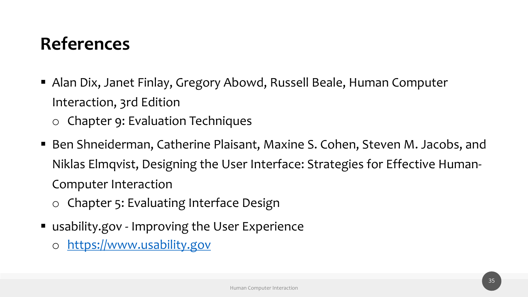# **References**

- Alan Dix, Janet Finlay, Gregory Abowd, Russell Beal [Interaction,](https://www.usability.gov/) 3rd Edition
	- o Chapter 9: Evaluation Techniques
- Ben Shneiderman, Catherine Plaisant, Maxine S. Col Niklas Elmqvist, Designing the User Interface: Strate Computer Interaction
	- o Chapter 5: Evaluating Interface Design
- usability.gov Improving the User Experience
	- o https://www.usability.gov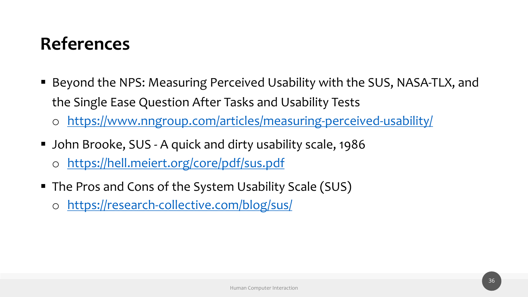# **References**

- Beyond the NPS: Measuring Perceived Usability with the Single Ease Question After Tasks and Usability T
	- https://www.nngroup.com/articles/measuring-pe
- John Brooke, SUS A quick and dirty usability scale, o https://hell.meiert.org/core/pdf/sus.pdf
- The Pros and Cons of the System Usability Scale (SU
	- o https://research-collective.com/blog/sus/